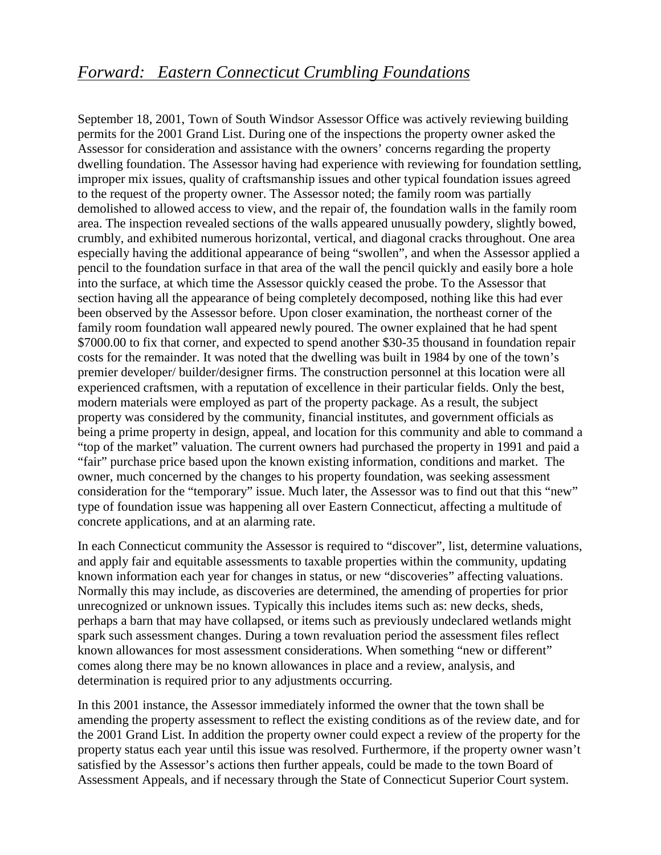## *Forward: Eastern Connecticut Crumbling Foundations*

September 18, 2001, Town of South Windsor Assessor Office was actively reviewing building permits for the 2001 Grand List. During one of the inspections the property owner asked the Assessor for consideration and assistance with the owners' concerns regarding the property dwelling foundation. The Assessor having had experience with reviewing for foundation settling, improper mix issues, quality of craftsmanship issues and other typical foundation issues agreed to the request of the property owner. The Assessor noted; the family room was partially demolished to allowed access to view, and the repair of, the foundation walls in the family room area. The inspection revealed sections of the walls appeared unusually powdery, slightly bowed, crumbly, and exhibited numerous horizontal, vertical, and diagonal cracks throughout. One area especially having the additional appearance of being "swollen", and when the Assessor applied a pencil to the foundation surface in that area of the wall the pencil quickly and easily bore a hole into the surface, at which time the Assessor quickly ceased the probe. To the Assessor that section having all the appearance of being completely decomposed, nothing like this had ever been observed by the Assessor before. Upon closer examination, the northeast corner of the family room foundation wall appeared newly poured. The owner explained that he had spent \$7000.00 to fix that corner, and expected to spend another \$30-35 thousand in foundation repair costs for the remainder. It was noted that the dwelling was built in 1984 by one of the town's premier developer/ builder/designer firms. The construction personnel at this location were all experienced craftsmen, with a reputation of excellence in their particular fields. Only the best, modern materials were employed as part of the property package. As a result, the subject property was considered by the community, financial institutes, and government officials as being a prime property in design, appeal, and location for this community and able to command a "top of the market" valuation. The current owners had purchased the property in 1991 and paid a "fair" purchase price based upon the known existing information, conditions and market. The owner, much concerned by the changes to his property foundation, was seeking assessment consideration for the "temporary" issue. Much later, the Assessor was to find out that this "new" type of foundation issue was happening all over Eastern Connecticut, affecting a multitude of concrete applications, and at an alarming rate.

In each Connecticut community the Assessor is required to "discover", list, determine valuations, and apply fair and equitable assessments to taxable properties within the community, updating known information each year for changes in status, or new "discoveries" affecting valuations. Normally this may include, as discoveries are determined, the amending of properties for prior unrecognized or unknown issues. Typically this includes items such as: new decks, sheds, perhaps a barn that may have collapsed, or items such as previously undeclared wetlands might spark such assessment changes. During a town revaluation period the assessment files reflect known allowances for most assessment considerations. When something "new or different" comes along there may be no known allowances in place and a review, analysis, and determination is required prior to any adjustments occurring.

In this 2001 instance, the Assessor immediately informed the owner that the town shall be amending the property assessment to reflect the existing conditions as of the review date, and for the 2001 Grand List. In addition the property owner could expect a review of the property for the property status each year until this issue was resolved. Furthermore, if the property owner wasn't satisfied by the Assessor's actions then further appeals, could be made to the town Board of Assessment Appeals, and if necessary through the State of Connecticut Superior Court system.